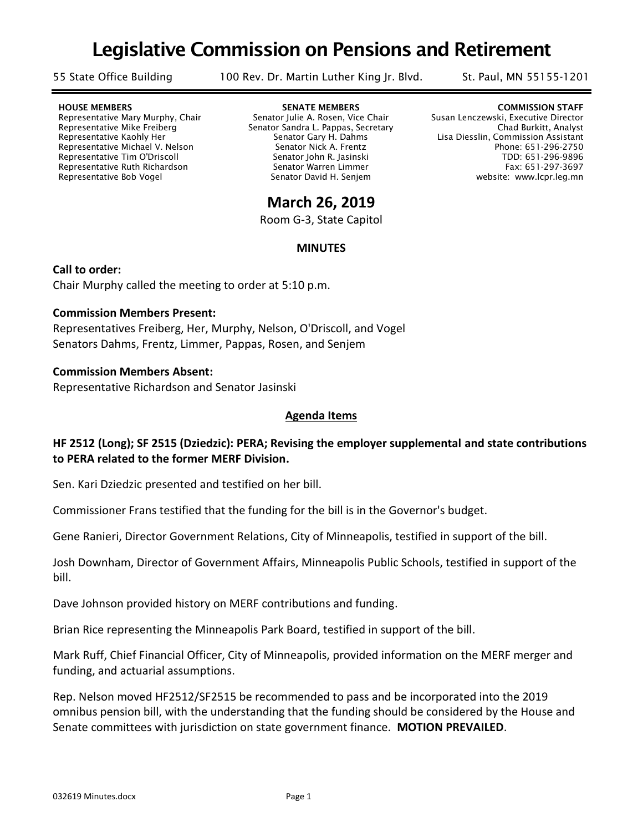# Legislative Commission on Pensions and Retirement

55 State Office Building 100 Rev. Dr. Martin Luther King Jr. Blvd. St. Paul, MN 55155-1201

Representative Ruth Richardson

HOUSE MEMBERS GENERAL SENATE MEMBERS AND SENATE MEMBERS COMMISSION STAFF Representative Mary Murphy, Chair Senator Julie A. Rosen, Vice Chair Susan Lenczewski, Executive Director Representative Mike Freiberg Senator Sandra L. Pappas, Secretary Chad Burkitt, Analyst Representative Kaohly Her Senator Gary H. Dahms Lisa Diesslin, Commission Assistant Representative Michael V. Nelson Senator Nick A. Frentz Senator Nick A. Senator Nick A. Frentz Phone: 651-296-2750 Representative Tim O'Driscoll Senator John R. Jasinski TDD: 651-296-9896 Representative Bob Vogel The Senator David H. Senjem Senator David H. Senjem website: www.lcpr.leg.mn

# **March 26, 2019**

Room G-3, State Capitol

### **MINUTES**

**Call to order:**  Chair Murphy called the meeting to order at 5:10 p.m.

#### **Commission Members Present:**

Representatives Freiberg, Her, Murphy, Nelson, O'Driscoll, and Vogel Senators Dahms, Frentz, Limmer, Pappas, Rosen, and Senjem

#### **Commission Members Absent:**

Representative Richardson and Senator Jasinski

# **Agenda Items**

# **HF 2512 (Long); SF 2515 (Dziedzic): PERA; Revising the employer supplemental and state contributions to PERA related to the former MERF Division.**

Sen. Kari Dziedzic presented and testified on her bill.

Commissioner Frans testified that the funding for the bill is in the Governor's budget.

Gene Ranieri, Director Government Relations, City of Minneapolis, testified in support of the bill.

Josh Downham, Director of Government Affairs, Minneapolis Public Schools, testified in support of the bill.

Dave Johnson provided history on MERF contributions and funding.

Brian Rice representing the Minneapolis Park Board, testified in support of the bill.

Mark Ruff, Chief Financial Officer, City of Minneapolis, provided information on the MERF merger and funding, and actuarial assumptions.

Rep. Nelson moved HF2512/SF2515 be recommended to pass and be incorporated into the 2019 omnibus pension bill, with the understanding that the funding should be considered by the House and Senate committees with jurisdiction on state government finance. **MOTION PREVAILED**.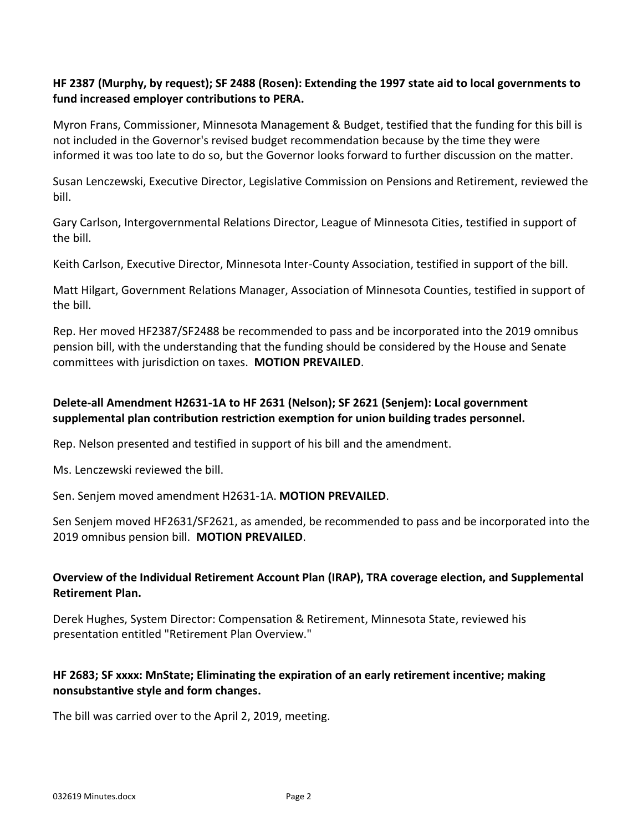# **HF 2387 (Murphy, by request); SF 2488 (Rosen): Extending the 1997 state aid to local governments to fund increased employer contributions to PERA.**

Myron Frans, Commissioner, Minnesota Management & Budget, testified that the funding for this bill is not included in the Governor's revised budget recommendation because by the time they were informed it was too late to do so, but the Governor looks forward to further discussion on the matter.

Susan Lenczewski, Executive Director, Legislative Commission on Pensions and Retirement, reviewed the bill.

Gary Carlson, Intergovernmental Relations Director, League of Minnesota Cities, testified in support of the bill.

Keith Carlson, Executive Director, Minnesota Inter-County Association, testified in support of the bill.

Matt Hilgart, Government Relations Manager, Association of Minnesota Counties, testified in support of the bill.

Rep. Her moved HF2387/SF2488 be recommended to pass and be incorporated into the 2019 omnibus pension bill, with the understanding that the funding should be considered by the House and Senate committees with jurisdiction on taxes. **MOTION PREVAILED**.

# **Delete-all Amendment H2631-1A to HF 2631 (Nelson); SF 2621 (Senjem): Local government supplemental plan contribution restriction exemption for union building trades personnel.**

Rep. Nelson presented and testified in support of his bill and the amendment.

Ms. Lenczewski reviewed the bill.

Sen. Senjem moved amendment H2631-1A. **MOTION PREVAILED**.

Sen Senjem moved HF2631/SF2621, as amended, be recommended to pass and be incorporated into the 2019 omnibus pension bill. **MOTION PREVAILED**.

# **Overview of the Individual Retirement Account Plan (IRAP), TRA coverage election, and Supplemental Retirement Plan.**

Derek Hughes, System Director: Compensation & Retirement, Minnesota State, reviewed his presentation entitled "Retirement Plan Overview."

# **HF 2683; SF xxxx: MnState; Eliminating the expiration of an early retirement incentive; making nonsubstantive style and form changes.**

The bill was carried over to the April 2, 2019, meeting.